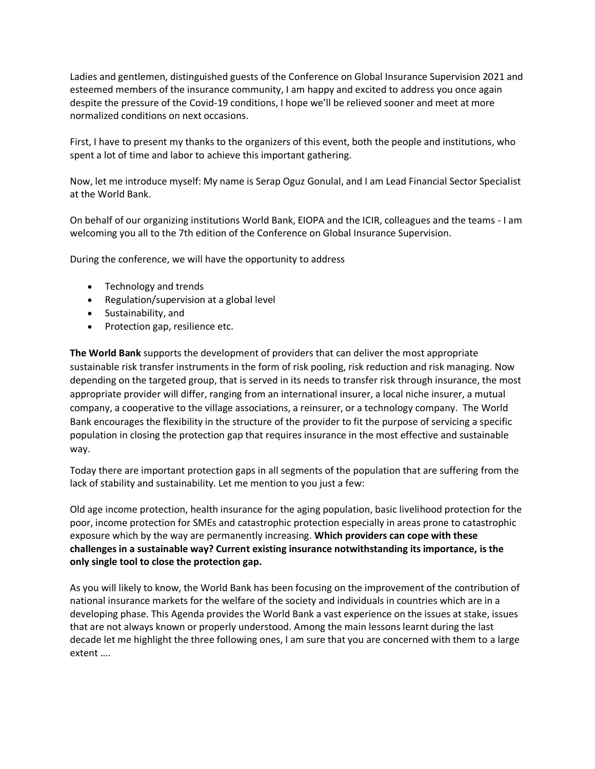Ladies and gentlemen, distinguished guests of the Conference on Global Insurance Supervision 2021 and esteemed members of the insurance community, I am happy and excited to address you once again despite the pressure of the Covid-19 conditions, I hope we'll be relieved sooner and meet at more normalized conditions on next occasions.

First, I have to present my thanks to the organizers of this event, both the people and institutions, who spent a lot of time and labor to achieve this important gathering.

Now, let me introduce myself: My name is Serap Oguz Gonulal, and I am Lead Financial Sector Specialist at the World Bank.

On behalf of our organizing institutions World Bank, EIOPA and the ICIR, colleagues and the teams - I am welcoming you all to the 7th edition of the Conference on Global Insurance Supervision.

During the conference, we will have the opportunity to address

- Technology and trends
- Regulation/supervision at a global level
- Sustainability, and
- Protection gap, resilience etc.

**The World Bank** supports the development of providers that can deliver the most appropriate sustainable risk transfer instruments in the form of risk pooling, risk reduction and risk managing. Now depending on the targeted group, that is served in its needs to transfer risk through insurance, the most appropriate provider will differ, ranging from an international insurer, a local niche insurer, a mutual company, a cooperative to the village associations, a reinsurer, or a technology company. The World Bank encourages the flexibility in the structure of the provider to fit the purpose of servicing a specific population in closing the protection gap that requires insurance in the most effective and sustainable way.

Today there are important protection gaps in all segments of the population that are suffering from the lack of stability and sustainability. Let me mention to you just a few:

Old age income protection, health insurance for the aging population, basic livelihood protection for the poor, income protection for SMEs and catastrophic protection especially in areas prone to catastrophic exposure which by the way are permanently increasing. **Which providers can cope with these challenges in a sustainable way? Current existing insurance notwithstanding its importance, is the only single tool to close the protection gap.**

As you will likely to know, the World Bank has been focusing on the improvement of the contribution of national insurance markets for the welfare of the society and individuals in countries which are in a developing phase. This Agenda provides the World Bank a vast experience on the issues at stake, issues that are not always known or properly understood. Among the main lessons learnt during the last decade let me highlight the three following ones, I am sure that you are concerned with them to a large extent ….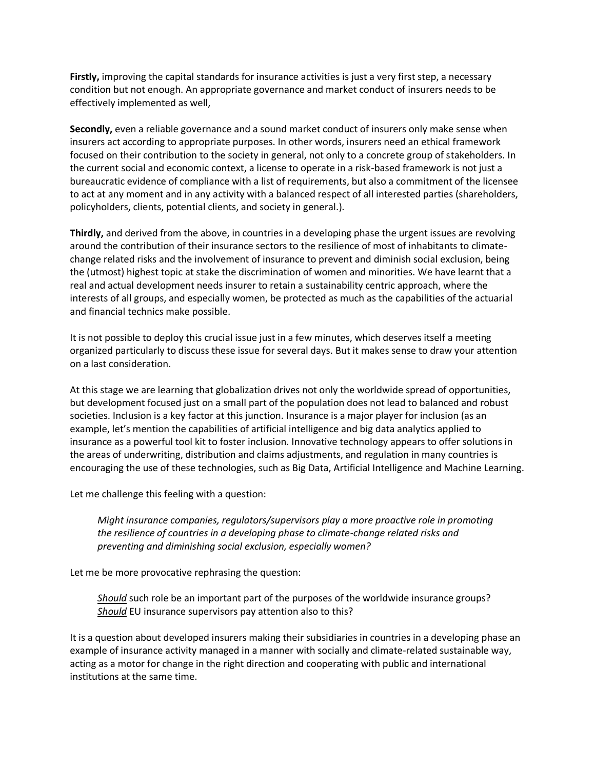**Firstly,** improving the capital standards for insurance activities is just a very first step, a necessary condition but not enough. An appropriate governance and market conduct of insurers needs to be effectively implemented as well,

**Secondly,** even a reliable governance and a sound market conduct of insurers only make sense when insurers act according to appropriate purposes. In other words, insurers need an ethical framework focused on their contribution to the society in general, not only to a concrete group of stakeholders. In the current social and economic context, a license to operate in a risk-based framework is not just a bureaucratic evidence of compliance with a list of requirements, but also a commitment of the licensee to act at any moment and in any activity with a balanced respect of all interested parties (shareholders, policyholders, clients, potential clients, and society in general.).

**Thirdly,** and derived from the above, in countries in a developing phase the urgent issues are revolving around the contribution of their insurance sectors to the resilience of most of inhabitants to climatechange related risks and the involvement of insurance to prevent and diminish social exclusion, being the (utmost) highest topic at stake the discrimination of women and minorities. We have learnt that a real and actual development needs insurer to retain a sustainability centric approach, where the interests of all groups, and especially women, be protected as much as the capabilities of the actuarial and financial technics make possible.

It is not possible to deploy this crucial issue just in a few minutes, which deserves itself a meeting organized particularly to discuss these issue for several days. But it makes sense to draw your attention on a last consideration.

At this stage we are learning that globalization drives not only the worldwide spread of opportunities, but development focused just on a small part of the population does not lead to balanced and robust societies. Inclusion is a key factor at this junction. Insurance is a major player for inclusion (as an example, let's mention the capabilities of artificial intelligence and big data analytics applied to insurance as a powerful tool kit to foster inclusion. Innovative technology appears to offer solutions in the areas of underwriting, distribution and claims adjustments, and regulation in many countries is encouraging the use of these technologies, such as Big Data, Artificial Intelligence and Machine Learning.

Let me challenge this feeling with a question:

*Might insurance companies, regulators/supervisors play a more proactive role in promoting the resilience of countries in a developing phase to climate-change related risks and preventing and diminishing social exclusion, especially women?*

Let me be more provocative rephrasing the question:

*Should* such role be an important part of the purposes of the worldwide insurance groups? *Should* EU insurance supervisors pay attention also to this?

It is a question about developed insurers making their subsidiaries in countries in a developing phase an example of insurance activity managed in a manner with socially and climate-related sustainable way, acting as a motor for change in the right direction and cooperating with public and international institutions at the same time.